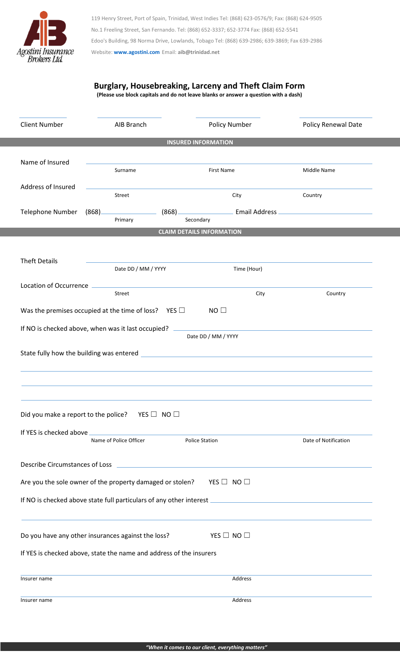

119 Henry Street, Port of Spain, Trinidad, West Indies Tel: (868) 623-0576/9; Fax: (868) 624-9505 No.1 Freeling Street, San Fernando. Tel: (868) 652-3337; 652-3774 Fax: (868) 652-5541 Edoo's Building, 98 Norma Drive, Lowlands, Tobago Tel: (868) 639-2986; 639-3869; Fax 639-2986 Website: **[www.agostini.com](http://www.agostini.com/)** Email: **aib@trinidad.net**

## **Burglary, Housebreaking, Larceny and Theft Claim Form**

**(Please use block capitals and do not leave blanks or answer a question with a dash)**

| <b>Client Number</b>                                                      | AIB Branch                                                          | Policy Number                                                                                                        | Policy Renewal Date  |  |  |  |  |  |  |  |
|---------------------------------------------------------------------------|---------------------------------------------------------------------|----------------------------------------------------------------------------------------------------------------------|----------------------|--|--|--|--|--|--|--|
| <b>INSURED INFORMATION</b>                                                |                                                                     |                                                                                                                      |                      |  |  |  |  |  |  |  |
| Name of Insured                                                           | Surname                                                             | <b>First Name</b>                                                                                                    | Middle Name          |  |  |  |  |  |  |  |
| Address of Insured                                                        | Street                                                              | City                                                                                                                 | Country              |  |  |  |  |  |  |  |
| <b>Telephone Number</b>                                                   | (868)<br>(868)<br>Primary                                           | Email Address<br>Secondary                                                                                           |                      |  |  |  |  |  |  |  |
| <b>CLAIM DETAILS INFORMATION</b>                                          |                                                                     |                                                                                                                      |                      |  |  |  |  |  |  |  |
| <b>Theft Details</b>                                                      | Date DD / MM / YYYY                                                 | Time (Hour)                                                                                                          |                      |  |  |  |  |  |  |  |
| <b>Location of Occurrence</b>                                             | Street                                                              | City                                                                                                                 | Country              |  |  |  |  |  |  |  |
|                                                                           | Was the premises occupied at the time of loss? YES $\Box$           | $NO$ $\square$                                                                                                       |                      |  |  |  |  |  |  |  |
| If NO is checked above, when was it last occupied?<br>Date DD / MM / YYYY |                                                                     |                                                                                                                      |                      |  |  |  |  |  |  |  |
| State fully how the building was entered                                  |                                                                     | <u> 1980 - Jan Stein Stein Stein Stein Stein Stein Stein Stein Stein Stein Stein Stein Stein Stein Stein Stein S</u> |                      |  |  |  |  |  |  |  |
|                                                                           | Did you make a report to the police? YES $\Box$ NO $\Box$           |                                                                                                                      |                      |  |  |  |  |  |  |  |
|                                                                           | Name of Police Officer                                              | <b>Police Station</b>                                                                                                | Date of Notification |  |  |  |  |  |  |  |
|                                                                           |                                                                     |                                                                                                                      |                      |  |  |  |  |  |  |  |
|                                                                           | Are you the sole owner of the property damaged or stolen?           | YES $\Box$ NO $\Box$                                                                                                 |                      |  |  |  |  |  |  |  |
|                                                                           |                                                                     |                                                                                                                      |                      |  |  |  |  |  |  |  |
|                                                                           | Do you have any other insurances against the loss?                  | YES $\Box$ NO $\Box$                                                                                                 |                      |  |  |  |  |  |  |  |
|                                                                           | If YES is checked above, state the name and address of the insurers |                                                                                                                      |                      |  |  |  |  |  |  |  |
| Insurer name                                                              |                                                                     | Address                                                                                                              |                      |  |  |  |  |  |  |  |
| Insurer name                                                              |                                                                     | Address                                                                                                              |                      |  |  |  |  |  |  |  |